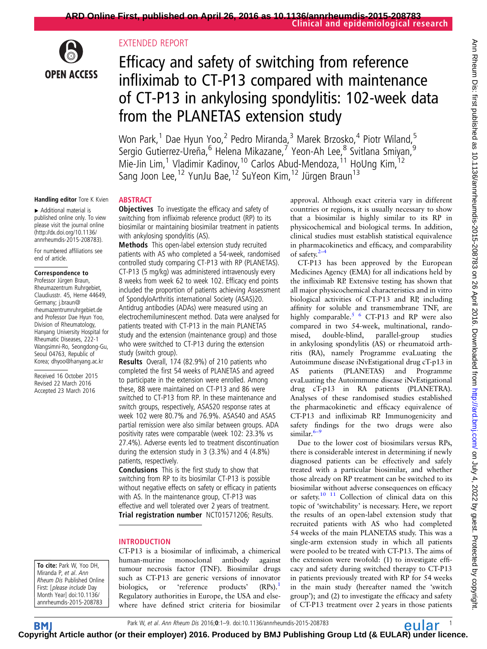

## EXTENDED REPORT

ABSTRACT

# Efficacy and safety of switching from reference infliximab to CT-P13 compared with maintenance of CT-P13 in ankylosing spondylitis: 102-week data from the PLANETAS extension study

Won Park,<sup>1</sup> Dae Hyun Yoo,<sup>2</sup> Pedro Miranda,<sup>3</sup> Marek Brzosko,<sup>4</sup> Piotr Wiland,<sup>5</sup> Sergio Gutierrez-Ureña,<sup>6</sup> Helena Mikazane,<sup>7</sup> Yeon-Ah Lee,<sup>8</sup> Svitlana Smiyan,<sup>9</sup> Mie-Jin Lim,<sup>1</sup> Vladimir Kadinov,<sup>10</sup> Carlos Abud-Mendoza,<sup>11</sup> HoUng Kim,<sup>12</sup> Sang Joon Lee,<sup>12</sup> YunJu Bae,<sup>12</sup> SuYeon Kim,<sup>12</sup> Jürgen Braun<sup>13</sup>

#### Handling editor Tore K Kvien

▸ Additional material is published online only. To view please visit the journal online [\(http://dx.doi.org/10.1136/](http://dx.doi.org/10.1136/annrheumdis-2015-208783) [annrheumdis-2015-208783\)](http://dx.doi.org/10.1136/annrheumdis-2015-208783).

For numbered affiliations see end of article.

#### Correspondence to

Professor Jürgen Braun, Rheumazentrum Ruhrgebiet, Claudiusstr. 45, Herne 44649, Germany; j.braun@ rheumazentrumruhrgebiet.de and Professor Dae Hyun Yoo, Division of Rheumatology, Hanyang University Hospital for Rheumatic Diseases, 222-1 Wangsimni-Ro, Seongdong-Gu, Seoul 04763, Republic of Korea; dhyoo@hanyang.ac.kr

Received 16 October 2015 Revised 22 March 2016 Accepted 23 March 2016

**Objectives** To investigate the efficacy and safety of switching from infliximab reference product (RP) to its biosimilar or maintaining biosimilar treatment in patients with ankylosing spondylitis (AS).

Methods This open-label extension study recruited patients with AS who completed a 54-week, randomised controlled study comparing CT-P13 with RP (PLANETAS). CT-P13 (5 mg/kg) was administered intravenously every 8 weeks from week 62 to week 102. Efficacy end points included the proportion of patients achieving Assessment of SpondyloArthritis international Society (ASAS)20. Antidrug antibodies (ADAs) were measured using an electrochemiluminescent method. Data were analysed for patients treated with CT-P13 in the main PLANETAS study and the extension (maintenance group) and those who were switched to CT-P13 during the extension study (switch group).

Results Overall, 174 (82.9%) of 210 patients who completed the first 54 weeks of PLANETAS and agreed to participate in the extension were enrolled. Among these, 88 were maintained on CT-P13 and 86 were switched to CT-P13 from RP. In these maintenance and switch groups, respectively, ASAS20 response rates at week 102 were 80.7% and 76.9%. ASAS40 and ASAS partial remission were also similar between groups. ADA positivity rates were comparable (week 102: 23.3% vs 27.4%). Adverse events led to treatment discontinuation during the extension study in 3 (3.3%) and 4 (4.8%) patients, respectively.

Conclusions This is the first study to show that switching from RP to its biosimilar CT-P13 is possible without negative effects on safety or efficacy in patients with AS. In the maintenance group, CT-P13 was effective and well tolerated over 2 years of treatment. Trial registration number NCT01571206; Results.

#### INTRODUCTION

To cite: Park W, Yoo DH, Miranda P, et al. Ann Rheum Dis Published Online First: [please include Day Month Year] doi:10.1136/ annrheumdis-2015-208783

CT-P13 is a biosimilar of infliximab, a chimerical human-murine monoclonal antibody against tumour necrosis factor (TNF). Biosimilar drugs such as CT-P13 are generic versions of innovator biologics, or 'reference products' (RPs).<sup>[1](#page-8-0)</sup> Regulatory authorities in Europe, the USA and elsewhere have defined strict criteria for biosimilar

approval. Although exact criteria vary in different countries or regions, it is usually necessary to show that a biosimilar is highly similar to its RP in physicochemical and biological terms. In addition, clinical studies must establish statistical equivalence in pharmacokinetics and efficacy, and comparability of safety. $2$ –

CT-P13 has been approved by the European Medicines Agency (EMA) for all indications held by the infliximab RP. Extensive testing has shown that all major physicochemical characteristics and in vitro biological activities of CT-P13 and RP, including affinity for soluble and transmembrane TNF, are highly comparable.<sup>[5 6](#page-8-0)</sup> CT-P13 and RP were also compared in two 54-week, multinational, randomised, double-blind, parallel-group studies in ankylosing spondylitis (AS) or rheumatoid arthritis (RA), namely Programme evaLuating the Autoimmune disease iNvEstigational drug cT-p13 in AS patients (PLANETAS) and Programme evaLuating the Autoimmune disease iNvEstigational drug cT-p13 in RA patients (PLANETRA). Analyses of these randomised studies established the pharmacokinetic and efficacy equivalence of CT-P13 and infliximab RP. Immunogenicity and safety findings for the two drugs were also similar. $6-9$  $6-9$ 

Due to the lower cost of biosimilars versus RPs, there is considerable interest in determining if newly diagnosed patients can be effectively and safely treated with a particular biosimilar, and whether those already on RP treatment can be switched to its biosimilar without adverse consequences on efficacy or safety.<sup>10</sup> <sup>11</sup> Collection of clinical data on this topic of 'switchability' is necessary. Here, we report the results of an open-label extension study that recruited patients with AS who had completed 54 weeks of the main PLANETAS study. This was a single-arm extension study in which all patients were pooled to be treated with CT-P13. The aims of the extension were twofold: (1) to investigate efficacy and safety during switched therapy to CT-P13 in patients previously treated with RP for 54 weeks in the main study (hereafter named the 'switch group'); and (2) to investigate the efficacy and safety of CT-P13 treatment over 2 years in those patients

**BM Cop[yrigh](http://ard.bmj.com)t Article author (or their employer) 2016. Produced by BMJ Publishing Group Ltd (& EULAR) under licence.**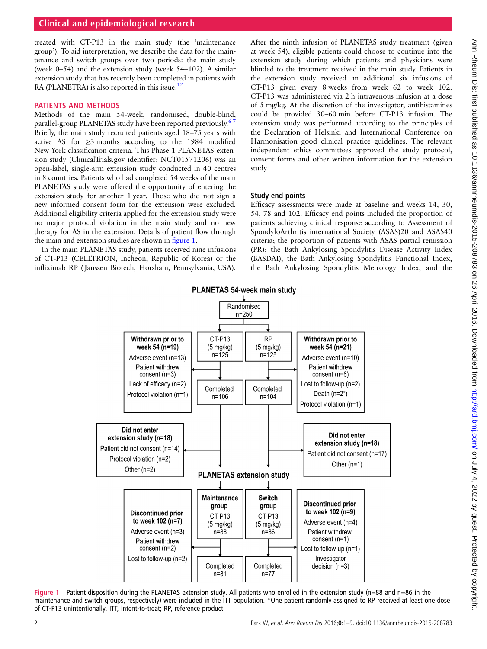<span id="page-1-0"></span>treated with CT-P13 in the main study (the 'maintenance group'). To aid interpretation, we describe the data for the maintenance and switch groups over two periods: the main study (week 0–54) and the extension study (week 54–102). A similar extension study that has recently been completed in patients with RA (PLANETRA) is also reported in this issue.<sup>[12](#page-8-0)</sup>

#### PATIENTS AND METHODS

Methods of the main 54-week, randomised, double-blind, parallel-group PLANETAS study have been reported previously.<sup>6</sup> Briefly, the main study recruited patients aged 18–75 years with active AS for  $\geq$ 3 months according to the 1984 modified New York classification criteria. This Phase 1 PLANETAS extension study (ClinicalTrials.gov identifier: NCT01571206) was an open-label, single-arm extension study conducted in 40 centres in 8 countries. Patients who had completed 54 weeks of the main PLANETAS study were offered the opportunity of entering the extension study for another 1 year. Those who did not sign a new informed consent form for the extension were excluded. Additional eligibility criteria applied for the extension study were no major protocol violation in the main study and no new therapy for AS in the extension. Details of patient flow through the main and extension studies are shown in figure 1.

In the main PLANETAS study, patients received nine infusions of CT-P13 (CELLTRION, Incheon, Republic of Korea) or the infliximab RP ( Janssen Biotech, Horsham, Pennsylvania, USA). After the ninth infusion of PLANETAS study treatment (given at week 54), eligible patients could choose to continue into the extension study during which patients and physicians were blinded to the treatment received in the main study. Patients in the extension study received an additional six infusions of CT-P13 given every 8 weeks from week 62 to week 102. CT-P13 was administered via 2 h intravenous infusion at a dose of 5 mg/kg. At the discretion of the investigator, antihistamines could be provided 30–60 min before CT-P13 infusion. The extension study was performed according to the principles of the Declaration of Helsinki and International Conference on Harmonisation good clinical practice guidelines. The relevant independent ethics committees approved the study protocol, consent forms and other written information for the extension study.

### Study end points

Efficacy assessments were made at baseline and weeks 14, 30, 54, 78 and 102. Efficacy end points included the proportion of patients achieving clinical response according to Assessment of SpondyloArthritis international Society (ASAS)20 and ASAS40 criteria; the proportion of patients with ASAS partial remission (PR); the Bath Ankylosing Spondylitis Disease Activity Index (BASDAI), the Bath Ankylosing Spondylitis Functional Index, the Bath Ankylosing Spondylitis Metrology Index, and the



Figure 1 Patient disposition during the PLANETAS extension study. All patients who enrolled in the extension study (n=88 and n=86 in the maintenance and switch groups, respectively) were included in the ITT population. \*One patient randomly assigned to RP received at least one dose of CT-P13 unintentionally. ITT, intent-to-treat; RP, reference product.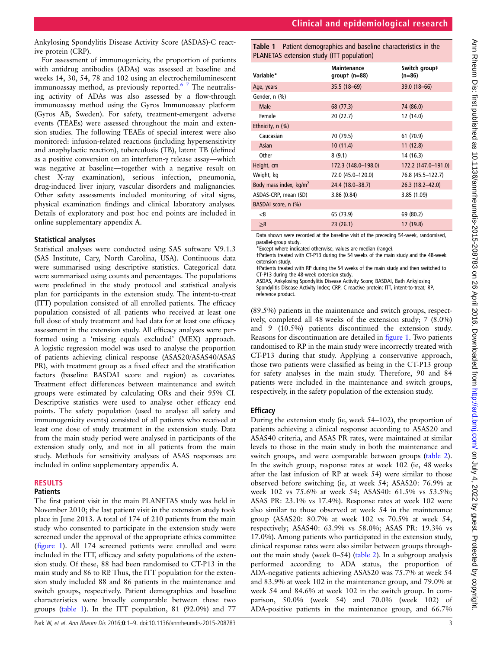Ankylosing Spondylitis Disease Activity Score (ASDAS)-C reactive protein (CRP).

For assessment of immunogenicity, the proportion of patients with antidrug antibodies (ADAs) was assessed at baseline and weeks 14, 30, 54, 78 and 102 using an electrochemiluminescent immunoassay method, as previously reported.<sup>67</sup> The neutralising activity of ADAs was also assessed by a flow-through immunoassay method using the Gyros Immunoassay platform (Gyros AB, Sweden). For safety, treatment-emergent adverse events (TEAEs) were assessed throughout the main and extension studies. The following TEAEs of special interest were also monitored: infusion-related reactions (including hypersensitivity and anaphylactic reaction), tuberculosis (TB), latent TB (defined as a positive conversion on an interferon-γ release assay—which was negative at baseline—together with a negative result on chest X-ray examination), serious infection, pneumonia, drug-induced liver injury, vascular disorders and malignancies. Other safety assessments included monitoring of vital signs, physical examination findings and clinical laboratory analyses. Details of exploratory and post hoc end points are included in online [supplementary appendix](http://dx.doi.org/10.1136/annrheumdis-2015-208783) A.

#### Statistical analyses

Statistical analyses were conducted using SAS software V.9.1.3 (SAS Institute, Cary, North Carolina, USA). Continuous data were summarised using descriptive statistics. Categorical data were summarised using counts and percentages. The populations were predefined in the study protocol and statistical analysis plan for participants in the extension study. The intent-to-treat (ITT) population consisted of all enrolled patients. The efficacy population consisted of all patients who received at least one full dose of study treatment and had data for at least one efficacy assessment in the extension study. All efficacy analyses were performed using a 'missing equals excluded' (MEX) approach. A logistic regression model was used to analyse the proportion of patients achieving clinical response (ASAS20/ASAS40/ASAS PR), with treatment group as a fixed effect and the stratification factors (baseline BASDAI score and region) as covariates. Treatment effect differences between maintenance and switch groups were estimated by calculating ORs and their 95% CI. Descriptive statistics were used to analyse other efficacy end points. The safety population (used to analyse all safety and immunogenicity events) consisted of all patients who received at least one dose of study treatment in the extension study. Data from the main study period were analysed in participants of the extension study only, and not in all patients from the main study. Methods for sensitivity analyses of ASAS responses are included in online [supplementary appendix](http://dx.doi.org/10.1136/annrheumdis-2015-208783) A.

#### RESULTS

#### **Patients**

The first patient visit in the main PLANETAS study was held in November 2010; the last patient visit in the extension study took place in June 2013. A total of 174 of 210 patients from the main study who consented to participate in the extension study were screened under the approval of the appropriate ethics committee (fi[gure 1\)](#page-1-0). All 174 screened patients were enrolled and were included in the ITT, efficacy and safety populations of the extension study. Of these, 88 had been randomised to CT-P13 in the main study and 86 to RP. Thus, the ITT population for the extension study included 88 and 86 patients in the maintenance and switch groups, respectively. Patient demographics and baseline characteristics were broadly comparable between these two groups (table 1). In the ITT population, 81 (92.0%) and 77

Table 1 Patient demographics and baseline characteristics in the PLANETAS extension study (ITT population)

| Variable*                          | <b>Maintenance</b><br>groupt $(n=88)$ | Switch group#<br>$(n=86)$ |
|------------------------------------|---------------------------------------|---------------------------|
| Age, years                         | $35.5(18-69)$                         | 39.0 (18-66)              |
| Gender, n (%)                      |                                       |                           |
| Male                               | 68 (77.3)                             | 74 (86.0)                 |
| Female                             | 20 (22.7)                             | 12 (14.0)                 |
| Ethnicity, $n$ $(\%)$              |                                       |                           |
| Caucasian                          | 70 (79.5)                             | 61 (70.9)                 |
| Asian                              | 10(11.4)                              | 11(12.8)                  |
| Other                              | 8(9.1)                                | 14 (16.3)                 |
| Height, cm                         | 172.3 (148.0-198.0)                   | 172.2 (147.0-191.0)       |
| Weight, kg                         | 72.0 (45.0-120.0)                     | 76.8 (45.5–122.7)         |
| Body mass index, kg/m <sup>2</sup> | $24.4(18.0 - 38.7)$                   | $26.3(18.2 - 42.0)$       |
| ASDAS-CRP, mean (SD)               | 3.86(0.84)                            | 3.85(1.09)                |
| BASDAI score, n (%)                |                                       |                           |
| < 8                                | 65 (73.9)                             | 69 (80.2)                 |
| $\geq 8$                           | 23(26.1)                              | 17 (19.8)                 |

Data shown were recorded at the baseline visit of the preceding 54-week, randomised, parallel-group study.

\*Except where indicated otherwise, values are median (range).

†Patients treated with CT-P13 during the 54 weeks of the main study and the 48-week extension study.

‡Patients treated with RP during the 54 weeks of the main study and then switched to CT-P13 during the 48-week extension study.

ASDAS, Ankylosing Spondylitis Disease Activity Score; BASDAI, Bath Ankylosing Spondylitis Disease Activity Index; CRP, C reactive protein; ITT, intent-to-treat; RP,

reference product.

(89.5%) patients in the maintenance and switch groups, respectively, completed all 48 weeks of the extension study; 7 (8.0%) and 9 (10.5%) patients discontinued the extension study. Reasons for discontinuation are detailed in fi[gure 1](#page-1-0). Two patients randomised to RP in the main study were incorrectly treated with CT-P13 during that study. Applying a conservative approach, those two patients were classified as being in the CT-P13 group for safety analyses in the main study. Therefore, 90 and 84 patients were included in the maintenance and switch groups, respectively, in the safety population of the extension study.

### **Efficacy**

During the extension study (ie, week 54–102), the proportion of patients achieving a clinical response according to ASAS20 and ASAS40 criteria, and ASAS PR rates, were maintained at similar levels to those in the main study in both the maintenance and switch groups, and were comparable between groups [\(table 2\)](#page-3-0). In the switch group, response rates at week 102 (ie, 48 weeks after the last infusion of RP at week 54) were similar to those observed before switching (ie, at week 54; ASAS20: 76.9% at week 102 vs 75.6% at week 54; ASAS40: 61.5% vs 53.5%; ASAS PR: 23.1% vs 17.4%). Response rates at week 102 were also similar to those observed at week 54 in the maintenance group (ASAS20: 80.7% at week 102 vs 70.5% at week 54, respectively; ASAS40: 63.9% vs 58.0%; ASAS PR: 19.3% vs 17.0%). Among patients who participated in the extension study, clinical response rates were also similar between groups throughout the main study (week 0–54) ([table 2\)](#page-3-0). In a subgroup analysis performed according to ADA status, the proportion of ADA-negative patients achieving ASAS20 was 75.7% at week 54 and 83.9% at week 102 in the maintenance group, and 79.0% at week 54 and 84.6% at week 102 in the switch group. In comparison, 50.0% (week 54) and 70.0% (week 102) of ADA-positive patients in the maintenance group, and 66.7%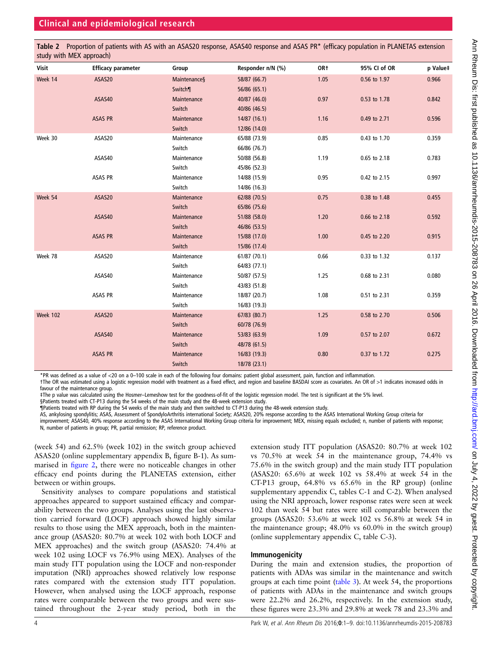<span id="page-3-0"></span>Table 2 Proportion of patients with AS with an ASAS20 response, ASAS40 response and ASAS PR\* (efficacy population in PLANETAS extension study with MEX approach)

| Visit           | <b>Efficacy parameter</b> | Group        | Responder n/N (%) | <b>OR</b> t | 95% CI of OR | p Value‡ |
|-----------------|---------------------------|--------------|-------------------|-------------|--------------|----------|
| Week 14         | ASAS20                    | Maintenance§ | 58/87 (66.7)      | 1.05        | 0.56 to 1.97 | 0.966    |
|                 |                           | Switch¶      | 56/86 (65.1)      |             |              |          |
|                 | ASAS40                    | Maintenance  | 40/87 (46.0)      | 0.97        | 0.53 to 1.78 | 0.842    |
|                 |                           | Switch       | 40/86 (46.5)      |             |              |          |
|                 | ASAS PR                   | Maintenance  | 14/87 (16.1)      | 1.16        | 0.49 to 2.71 | 0.596    |
|                 |                           | Switch       | 12/86 (14.0)      |             |              |          |
| Week 30         | ASAS20                    | Maintenance  | 65/88 (73.9)      | 0.85        | 0.43 to 1.70 | 0.359    |
|                 |                           | Switch       | 66/86 (76.7)      |             |              |          |
|                 | ASAS40                    | Maintenance  | 50/88 (56.8)      | 1.19        | 0.65 to 2.18 | 0.783    |
|                 |                           | Switch       | 45/86 (52.3)      |             |              |          |
|                 | ASAS PR                   | Maintenance  | 14/88 (15.9)      | 0.95        | 0.42 to 2.15 | 0.997    |
|                 |                           | Switch       | 14/86 (16.3)      |             |              |          |
| Week 54         | ASAS20                    | Maintenance  | 62/88 (70.5)      | 0.75        | 0.38 to 1.48 | 0.455    |
|                 |                           | Switch       | 65/86 (75.6)      |             |              |          |
|                 | ASAS40                    | Maintenance  | 51/88 (58.0)      | 1.20        | 0.66 to 2.18 | 0.592    |
|                 |                           | Switch       | 46/86 (53.5)      |             |              |          |
|                 | ASAS PR                   | Maintenance  | 15/88 (17.0)      | 1.00        | 0.45 to 2.20 | 0.915    |
|                 |                           | Switch       | 15/86 (17.4)      |             |              |          |
| Week 78         | ASAS20                    | Maintenance  | 61/87 (70.1)      | 0.66        | 0.33 to 1.32 | 0.137    |
|                 |                           | Switch       | 64/83 (77.1)      |             |              |          |
|                 | ASAS40                    | Maintenance  | 50/87 (57.5)      | 1.25        | 0.68 to 2.31 | 0.080    |
|                 |                           | Switch       | 43/83 (51.8)      |             |              |          |
|                 | ASAS PR                   | Maintenance  | 18/87 (20.7)      | 1.08        | 0.51 to 2.31 | 0.359    |
|                 |                           | Switch       | 16/83 (19.3)      |             |              |          |
| <b>Week 102</b> | ASAS20                    | Maintenance  | 67/83 (80.7)      | 1.25        | 0.58 to 2.70 | 0.506    |
|                 |                           | Switch       | 60/78 (76.9)      |             |              |          |
|                 | ASAS40                    | Maintenance  | 53/83 (63.9)      | 1.09        | 0.57 to 2.07 | 0.672    |
|                 |                           | Switch       | 48/78 (61.5)      |             |              |          |
|                 | <b>ASAS PR</b>            | Maintenance  | 16/83 (19.3)      | 0.80        | 0.37 to 1.72 | 0.275    |
|                 |                           | Switch       | 18/78 (23.1)      |             |              |          |
|                 |                           |              |                   |             |              |          |

\*PR was defined as a value of <20 on a 0–100 scale in each of the following four domains: patient global assessment, pain, function and inflammation.

†The OR was estimated using a logistic regression model with treatment as a fixed effect, and region and baseline BASDAI score as covariates. An OR of >1 indicates increased odds in favour of the maintenance group.

‡The p value was calculated using the Hosmer–Lemeshow test for the goodness-of-fit of the logistic regression model. The test is significant at the 5% level.

§Patients treated with CT-P13 during the 54 weeks of the main study and the 48-week extension study.

¶Patients treated with RP during the 54 weeks of the main study and then switched to CT-P13 during the 48-week extension study.

AS, ankylosing spondylitis; ASAS, Assessment of SpondyloArthritis international Society; ASAS20, 20% response according to the ASAS International Working Group criteria for improvement; ASAS40, 40% response according to the ASAS International Working Group criteria for improvement; MEX, missing equals excluded; n, number of patients with response; N, number of patients in group; PR, partial remission; RP, reference product.

(week 54) and 62.5% (week 102) in the switch group achieved ASAS20 (online [supplementary appendix](http://dx.doi.org/10.1136/annrheumdis-2015-208783) B, figure B-1). As summarised in fi[gure 2,](#page-4-0) there were no noticeable changes in other efficacy end points during the PLANETAS extension, either between or within groups.

Sensitivity analyses to compare populations and statistical approaches appeared to support sustained efficacy and comparability between the two groups. Analyses using the last observation carried forward (LOCF) approach showed highly similar results to those using the MEX approach, both in the maintenance group (ASAS20: 80.7% at week 102 with both LOCF and MEX approaches) and the switch group (ASAS20: 74.4% at week 102 using LOCF vs 76.9% using MEX). Analyses of the main study ITT population using the LOCF and non-responder imputation (NRI) approaches showed relatively low response rates compared with the extension study ITT population. However, when analysed using the LOCF approach, response rates were comparable between the two groups and were sustained throughout the 2-year study period, both in the

extension study ITT population (ASAS20: 80.7% at week 102 vs 70.5% at week 54 in the maintenance group, 74.4% vs 75.6% in the switch group) and the main study ITT population (ASAS20: 65.6% at week 102 vs 58.4% at week 54 in the CT-P13 group, 64.8% vs 65.6% in the RP group) (online [supplementary appendix](http://dx.doi.org/10.1136/annrheumdis-2015-208783) C, tables C-1 and C-2). When analysed using the NRI approach, lower response rates were seen at week 102 than week 54 but rates were still comparable between the groups (ASAS20: 53.6% at week 102 vs 56.8% at week 54 in the maintenance group; 48.0% vs 60.0% in the switch group) (online [supplementary appendix](http://dx.doi.org/10.1136/annrheumdis-2015-208783) C, table C-3).

#### Immunogenicity

During the main and extension studies, the proportion of patients with ADAs was similar in the maintenance and switch groups at each time point [\(table 3](#page-6-0)). At week 54, the proportions of patients with ADAs in the maintenance and switch groups were 22.2% and 26.2%, respectively. In the extension study, these figures were 23.3% and 29.8% at week 78 and 23.3% and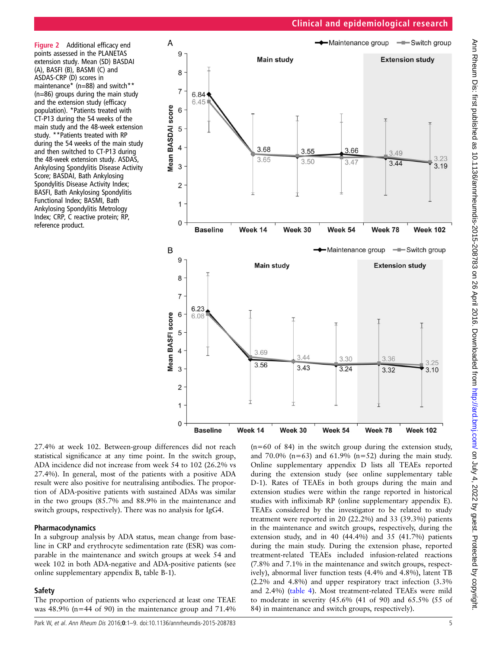<span id="page-4-0"></span>Figure 2 Additional efficacy end points assessed in the PLANETAS extension study. Mean (SD) BASDAI (A), BASFI (B), BASMI (C) and ASDAS-CRP (D) scores in maintenance\* (n=88) and switch\*\* (n=86) groups during the main study and the extension study (efficacy population). \*Patients treated with CT-P13 during the 54 weeks of the main study and the 48-week extension study. \*\* Patients treated with RP during the 54 weeks of the main study and then switched to CT-P13 during the 48-week extension study. ASDAS, Ankylosing Spondylitis Disease Activity Score; BASDAI, Bath Ankylosing Spondylitis Disease Activity Index; BASFI, Bath Ankylosing Spondylitis Functional Index; BASMI, Bath Ankylosing Spondylitis Metrology Index; CRP, C reactive protein; RP, reference product.



27.4% at week 102. Between-group differences did not reach statistical significance at any time point. In the switch group, ADA incidence did not increase from week 54 to 102 (26.2% vs 27.4%). In general, most of the patients with a positive ADA result were also positive for neutralising antibodies. The proportion of ADA-positive patients with sustained ADAs was similar in the two groups (85.7% and 88.9% in the maintenance and switch groups, respectively). There was no analysis for IgG4.

#### Pharmacodynamics

In a subgroup analysis by ADA status, mean change from baseline in CRP and erythrocyte sedimentation rate (ESR) was comparable in the maintenance and switch groups at week 54 and week 102 in both ADA-negative and ADA-positive patients (see online [supplementary appendix](http://dx.doi.org/10.1136/annrheumdis-2015-208783) B, table B-1).

### **Safety**

The proportion of patients who experienced at least one TEAE was  $48.9\%$  (n=44 of 90) in the maintenance group and  $71.4\%$ 

(n=60 of 84) in the switch group during the extension study, and  $70.0\%$  (n=63) and  $61.9\%$  (n=52) during the main study. Online [supplementary appendix](http://dx.doi.org/10.1136/annrheumdis-2015-208783) D lists all TEAEs reported during the extension study (see online supplementary table D-1). Rates of TEAEs in both groups during the main and extension studies were within the range reported in historical studies with infliximab RP (online [supplementary appendix](http://dx.doi.org/10.1136/annrheumdis-2015-208783) E). TEAEs considered by the investigator to be related to study treatment were reported in 20 (22.2%) and 33 (39.3%) patients in the maintenance and switch groups, respectively, during the extension study, and in 40 (44.4%) and 35 (41.7%) patients during the main study. During the extension phase, reported treatment-related TEAEs included infusion-related reactions (7.8% and 7.1% in the maintenance and switch groups, respectively), abnormal liver function tests (4.4% and 4.8%), latent TB (2.2% and 4.8%) and upper respiratory tract infection (3.3% and 2.4%) ([table 4\)](#page-6-0). Most treatment-related TEAEs were mild to moderate in severity (45.6% (41 of 90) and 65.5% (55 of 84) in maintenance and switch groups, respectively).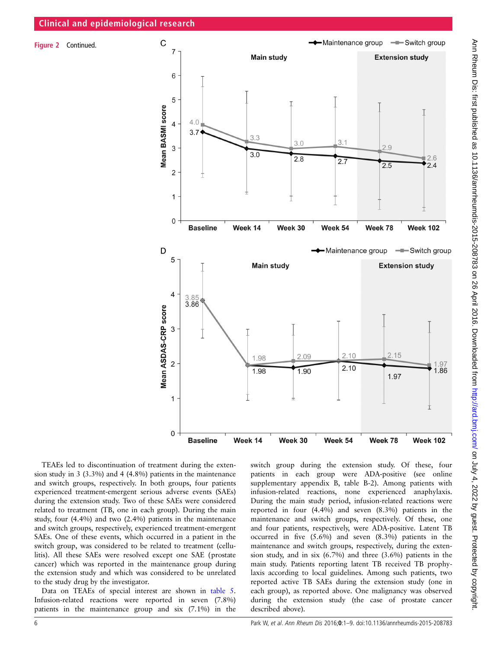Figure 2 Continued.



TEAEs led to discontinuation of treatment during the extension study in 3 (3.3%) and 4 (4.8%) patients in the maintenance and switch groups, respectively. In both groups, four patients experienced treatment-emergent serious adverse events (SAEs) during the extension study. Two of these SAEs were considered related to treatment (TB, one in each group). During the main study, four (4.4%) and two (2.4%) patients in the maintenance and switch groups, respectively, experienced treatment-emergent SAEs. One of these events, which occurred in a patient in the switch group, was considered to be related to treatment (cellulitis). All these SAEs were resolved except one SAE (prostate cancer) which was reported in the maintenance group during the extension study and which was considered to be unrelated to the study drug by the investigator.

Data on TEAEs of special interest are shown in [table 5](#page-7-0). Infusion-related reactions were reported in seven (7.8%) patients in the maintenance group and six (7.1%) in the switch group during the extension study. Of these, four patients in each group were ADA-positive (see online [supplementary appendix](http://dx.doi.org/10.1136/annrheumdis-2015-208783) B, table B-2). Among patients with infusion-related reactions, none experienced anaphylaxis. During the main study period, infusion-related reactions were reported in four (4.4%) and seven (8.3%) patients in the maintenance and switch groups, respectively. Of these, one and four patients, respectively, were ADA-positive. Latent TB occurred in five (5.6%) and seven (8.3%) patients in the maintenance and switch groups, respectively, during the extension study, and in six (6.7%) and three (3.6%) patients in the main study. Patients reporting latent TB received TB prophylaxis according to local guidelines. Among such patients, two reported active TB SAEs during the extension study (one in each group), as reported above. One malignancy was observed during the extension study (the case of prostate cancer described above).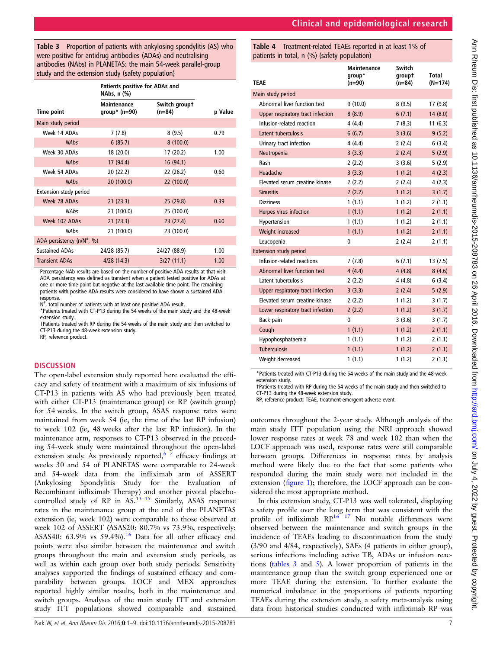<span id="page-6-0"></span>Table 3 Proportion of patients with ankylosing spondylitis (AS) who were positive for antidrug antibodies (ADAs) and neutralising antibodies (NAbs) in PLANETAS: the main 54-week parallel-group study and the extension study (safety population)

|                                        | Patients positive for ADAs and<br>NAbs, n (%) |                           |         |
|----------------------------------------|-----------------------------------------------|---------------------------|---------|
| Time point                             | Maintenance<br>group* $(n=90)$                | Switch groupt<br>$(n=84)$ | p Value |
| Main study period                      |                                               |                           |         |
| Week 14 ADAs                           | 7(7.8)                                        | 8(9.5)                    | 0.79    |
| <b>NAbs</b>                            | 6(85.7)                                       | 8(100.0)                  |         |
| Week 30 ADAs                           | 18 (20.0)                                     | 17 (20.2)                 | 1.00    |
| <b>NAbs</b>                            | 17 (94.4)                                     | 16(94.1)                  |         |
| Week 54 ADAs                           | 20 (22.2)                                     | 22 (26.2)                 | 0.60    |
| <b>NAbs</b>                            | 20(100.0)                                     | 22 (100.0)                |         |
| Extension study period                 |                                               |                           |         |
| Week 78 ADAs                           | 21(23.3)                                      | 25(29.8)                  | 0.39    |
| NAbs                                   | 21 (100.0)                                    | 25 (100.0)                |         |
| Week 102 ADAs                          | 21(23.3)                                      | 23(27.4)                  | 0.60    |
| NAbs                                   | 21 (100.0)                                    | 23 (100.0)                |         |
| ADA persistency (n/N <sup>#</sup> , %) |                                               |                           |         |
| <b>Sustained ADAs</b>                  | 24/28 (85.7)                                  | 24/27 (88.9)              | 1.00    |
| <b>Transient ADAs</b>                  | 4/28(14.3)                                    | 3/27(11.1)                | 1.00    |

Percentage NAb results are based on the number of positive ADA results at that visit. ADA persistency was defined as transient when a patient tested positive for ADAs at one or more time point but negative at the last available time point. The remaining patients with positive ADA results were considered to have shown a sustained ADA response.

 $N^{\#}$ , total number of patients with at least one positive ADA result.

\*Patients treated with CT-P13 during the 54 weeks of the main study and the 48-week extension study.

†Patients treated with RP during the 54 weeks of the main study and then switched to CT-P13 during the 48-week extension study. RP, reference product.

# **DISCUSSION**

The open-label extension study reported here evaluated the efficacy and safety of treatment with a maximum of six infusions of CT-P13 in patients with AS who had previously been treated with either CT-P13 (maintenance group) or RP (switch group) for 54 weeks. In the switch group, ASAS response rates were maintained from week 54 (ie, the time of the last RP infusion) to week 102 (ie, 48 weeks after the last RP infusion). In the maintenance arm, responses to CT-P13 observed in the preceding 54-week study were maintained throughout the open-label extension study. As previously reported,<sup>6  $\frac{3}{7}$ </sup> efficacy findings at weeks 30 and 54 of PLANETAS were comparable to 24-week and 54-week data from the infliximab arm of ASSERT (Ankylosing Spondylitis Study for the Evaluation of Recombinant infliximab Therapy) and another pivotal placebocontrolled study of RP in  $AS$ .<sup>[13](#page-8-0)–15</sup> Similarly, ASAS response rates in the maintenance group at the end of the PLANETAS extension (ie, week 102) were comparable to those observed at week 102 of ASSERT (ASAS20: 80.7% vs 73.9%, respectively; ASAS40: 63.9% vs 59.4%).<sup>[16](#page-8-0)</sup> Data for all other efficacy end points were also similar between the maintenance and switch groups throughout the main and extension study periods, as well as within each group over both study periods. Sensitivity analyses supported the findings of sustained efficacy and comparability between groups. LOCF and MEX approaches reported highly similar results, both in the maintenance and switch groups. Analyses of the main study ITT and extension study ITT populations showed comparable and sustained Table 4 Treatment-related TEAEs reported in at least 1% of patients in total, n (%) (safety population)

| TEAE                              | Maintenance<br>group*<br>$(n=90)$ | <b>Switch</b><br>groupt<br>$(n=84)$ | <b>Total</b><br>$(N=174)$ |
|-----------------------------------|-----------------------------------|-------------------------------------|---------------------------|
| Main study period                 |                                   |                                     |                           |
| Abnormal liver function test      | 9(10.0)                           | 8(9.5)                              | 17(9.8)                   |
| Upper respiratory tract infection | 8(8.9)                            | 6(7.1)                              | 14(8.0)                   |
| Infusion-related reaction         | 4(4.4)                            | 7(8.3)                              | 11(6.3)                   |
| Latent tuberculosis               | 6(6.7)                            | 3(3.6)                              | 9(5.2)                    |
| Urinary tract infection           | 4(4.4)                            | 2(2.4)                              | 6(3.4)                    |
| Neutropenia                       | 3(3.3)                            | 2(2.4)                              | 5(2.9)                    |
| Rash                              | 2(2.2)                            | 3(3.6)                              | 5(2.9)                    |
| Headache                          | 3(3.3)                            | 1(1.2)                              | 4(2.3)                    |
| Elevated serum creatine kinase    | 2(2.2)                            | 2(2.4)                              | 4(2.3)                    |
| <b>Sinusitis</b>                  | 2(2.2)                            | 1(1.2)                              | 3(1.7)                    |
| <b>Dizziness</b>                  | 1(1.1)                            | 1(1.2)                              | 2(1.1)                    |
| Herpes virus infection            | 1(1.1)                            | 1(1.2)                              | 2(1.1)                    |
| Hypertension                      | 1(1.1)                            | 1(1.2)                              | 2(1.1)                    |
| Weight increased                  | 1(1.1)                            | 1(1.2)                              | 2(1.1)                    |
| Leucopenia                        | 0                                 | 2(2.4)                              | 2(1.1)                    |
| <b>Extension study period</b>     |                                   |                                     |                           |
| Infusion-related reactions        | 7(7.8)                            | 6(7.1)                              | 13(7.5)                   |
| Abnormal liver function test      | 4(4.4)                            | 4(4.8)                              | 8(4.6)                    |
| Latent tuberculosis               | 2(2.2)                            | 4(4.8)                              | 6(3.4)                    |
| Upper respiratory tract infection | 3(3.3)                            | 2(2.4)                              | 5(2.9)                    |
| Elevated serum creatine kinase    | 2(2.2)                            | 1(1.2)                              | 3(1.7)                    |
| Lower respiratory tract infection | 2(2.2)                            | 1(1.2)                              | 3(1.7)                    |
| Back pain                         | 0                                 | 3(3.6)                              | 3(1.7)                    |
| Cough                             | 1(1.1)                            | 1(1.2)                              | 2(1.1)                    |
| Hypophosphataemia                 | 1(1.1)                            | 1(1.2)                              | 2(1.1)                    |
| <b>Tuberculosis</b>               | 1(1.1)                            | 1(1.2)                              | 2(1.1)                    |
| Weight decreased                  | 1(1.1)                            | 1(1.2)                              | 2(1.1)                    |
|                                   |                                   |                                     |                           |

\*Patients treated with CT-P13 during the 54 weeks of the main study and the 48-week extension study.

†Patients treated with RP during the 54 weeks of the main study and then switched to CT-P13 during the 48-week extension study.

RP, reference product; TEAE, treatment-emergent adverse event.

outcomes throughout the 2-year study. Although analysis of the main study ITT population using the NRI approach showed lower response rates at week 78 and week 102 than when the LOCF approach was used, response rates were still comparable between groups. Differences in response rates by analysis method were likely due to the fact that some patients who responded during the main study were not included in the extension (fi[gure 1\)](#page-1-0); therefore, the LOCF approach can be considered the most appropriate method.

In this extension study, CT-P13 was well tolerated, displaying a safety profile over the long term that was consistent with the profile of infliximab  $RP^{16}$  17 No notable differences were observed between the maintenance and switch groups in the incidence of TEAEs leading to discontinuation from the study (3/90 and 4/84, respectively), SAEs (4 patients in either group), serious infections including active TB, ADAs or infusion reactions (tables  $3$  and  $5$ ). A lower proportion of patients in the maintenance group than the switch group experienced one or more TEAE during the extension. To further evaluate the numerical imbalance in the proportions of patients reporting TEAEs during the extension study, a safety meta-analysis using data from historical studies conducted with infliximab RP was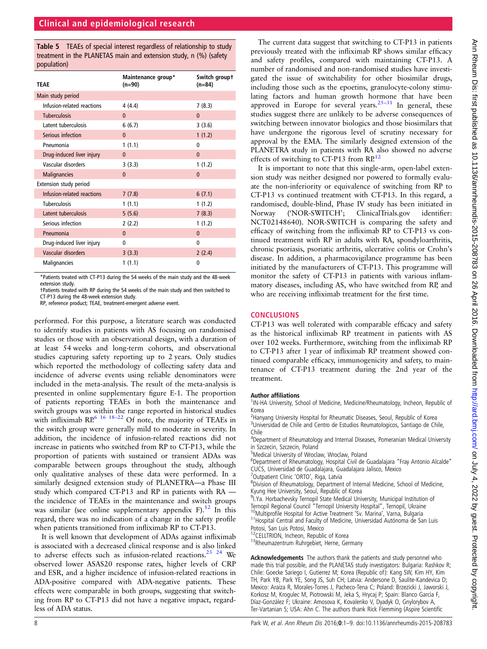<span id="page-7-0"></span>Table 5 TEAEs of special interest regardless of relationship to study treatment in the PLANETAS main and extension study, n (%) (safety population)

| <b>TEAE</b>                | Maintenance group*<br>$(n=90)$ | Switch groupt<br>$(n=84)$ |
|----------------------------|--------------------------------|---------------------------|
| Main study period          |                                |                           |
| Infusion-related reactions | 4(4.4)                         | 7(8.3)                    |
| <b>Tuberculosis</b>        | $\Omega$                       | $\mathbf{0}$              |
| Latent tuberculosis        | 6(6.7)                         | 3(3.6)                    |
| Serious infection          | $\mathbf{0}$                   | 1(1.2)                    |
| Pneumonia                  | 1(1.1)                         | 0                         |
| Drug-induced liver injury  | $\mathbf{0}$                   | $\mathbf{0}$              |
| Vascular disorders         | 3(3.3)                         | 1(1.2)                    |
| <b>Malignancies</b>        | $\Omega$                       | $\Omega$                  |
| Extension study period     |                                |                           |
| Infusion-related reactions | 7(7.8)                         | 6(7.1)                    |
| <b>Tuberculosis</b>        | 1(1.1)                         | 1(1.2)                    |
| Latent tuberculosis        | 5(5.6)                         | 7(8.3)                    |
| Serious infection          | 2(2.2)                         | 1(1.2)                    |
| Pneumonia                  | $\Omega$                       | $\mathbf{0}$              |
| Drug-induced liver injury  | 0                              | $\Omega$                  |
| Vascular disorders         | 3(3.3)                         | 2(2.4)                    |
| <b>Malignancies</b>        | 1(1.1)                         | $\mathbf{0}$              |

\*Patients treated with CT-P13 during the 54 weeks of the main study and the 48-week extension study.

†Patients treated with RP during the 54 weeks of the main study and then switched to CT-P13 during the 48-week extension study.

RP, reference product; TEAE, treatment-emergent adverse event.

performed. For this purpose, a literature search was conducted to identify studies in patients with AS focusing on randomised studies or those with an observational design, with a duration of at least 54 weeks and long-term cohorts, and observational studies capturing safety reporting up to 2 years. Only studies which reported the methodology of collecting safety data and incidence of adverse events using reliable denominators were included in the meta-analysis. The result of the meta-analysis is presented in online supplementary figure E-1. The proportion of patients reporting TEAEs in both the maintenance and switch groups was within the range reported in historical studies with infliximab  $\mathbb{RP}^6$  16 18–[22](#page-8-0) Of note, the majority of TEAEs in the switch group were generally mild to moderate in severity. In addition, the incidence of infusion-related reactions did not increase in patients who switched from RP to CT-P13, while the proportion of patients with sustained or transient ADAs was comparable between groups throughout the study, although only qualitative analyses of these data were performed. In a similarly designed extension study of PLANETRA—a Phase III study which compared CT-P13 and RP in patients with RA the incidence of TEAEs in the maintenance and switch groups was similar (see online [supplementary appendix](http://dx.doi.org/10.1136/annrheumdis-2015-208783) F).<sup>[12](#page-8-0)</sup> In this regard, there was no indication of a change in the safety profile when patients transitioned from infliximab RP to CT-P13.

It is well known that development of ADAs against infliximab is associated with a decreased clinical response and is also linked to adverse effects such as infusion-related reactions.<sup>23</sup> <sup>24</sup> We observed lower ASAS20 response rates, higher levels of CRP and ESR, and a higher incidence of infusion-related reactions in ADA-positive compared with ADA-negative patients. These effects were comparable in both groups, suggesting that switching from RP to CT-P13 did not have a negative impact, regardless of ADA status.

The current data suggest that switching to CT-P13 in patients previously treated with the infliximab RP shows similar efficacy and safety profiles, compared with maintaining CT-P13. A number of randomised and non-randomised studies have investigated the issue of switchability for other biosimilar drugs, including those such as the epoetins, granulocyte-colony stimulating factors and human growth hormone that have been approved in Europe for several years.<sup>[25](#page-8-0)–31</sup> In general, these studies suggest there are unlikely to be adverse consequences of switching between innovator biologics and those biosimilars that have undergone the rigorous level of scrutiny necessary for approval by the EMA. The similarly designed extension of the PLANETRA study in patients with RA also showed no adverse effects of switching to CT-P13 from RP.<sup>[12](#page-8-0)</sup>

It is important to note that this single-arm, open-label extension study was neither designed nor powered to formally evaluate the non-inferiority or equivalence of switching from RP to CT-P13 vs continued treatment with CT-P13. In this regard, a randomised, double-blind, Phase IV study has been initiated in Norway ('NOR-SWITCH'; ClinicalTrials.gov identifier: NCT02148640). NOR-SWITCH is comparing the safety and efficacy of switching from the infliximab RP to CT-P13 vs continued treatment with RP in adults with RA, spondyloarthritis, chronic psoriasis, psoriatic arthritis, ulcerative colitis or Crohn's disease. In addition, a pharmacovigilance programme has been initiated by the manufacturers of CT-P13. This programme will monitor the safety of CT-P13 in patients with various inflammatory diseases, including AS, who have switched from RP, and who are receiving infliximab treatment for the first time.

#### **CONCLUSIONS**

CT-P13 was well tolerated with comparable efficacy and safety as the historical infliximab RP treatment in patients with AS over 102 weeks. Furthermore, switching from the infliximab RP to CT-P13 after 1 year of infliximab RP treatment showed continued comparable efficacy, immunogenicity and safety, to maintenance of CT-P13 treatment during the 2nd year of the treatment.

#### Author affiliations <sup>1</sup>

<sup>1</sup>IN-HA University, School of Medicine, Medicine/Rheumatology, Incheon, Republic of Korea

<sup>2</sup>Hanyang University Hospital for Rheumatic Diseases, Seoul, Republic of Korea <sup>3</sup>Universidad de Chile and Centro de Estudios Reumatologicos, Santiago de Chile, Chile

<sup>4</sup>Department of Rheumatology and Internal Diseases, Pomeranian Medical University in Szczecin, Szczecin, Poland

5 Medical University of Wroclaw, Wroclaw, Poland

<sup>6</sup>Department of Rheumatology, Hospital Civil de Guadalajara "Fray Antonio Alcalde" CUCS, Universidad de Guadalajara, Guadalajara Jalisco, Mexico

<sup>7</sup> Outpatient Clinic 'ORTO', Riga, Latvia

<sup>8</sup>Division of Rheumatology, Department of Internal Medicine, School of Medicine,

Kyung Hee University, Seoul, Republic of Korea <sup>9</sup>I. Ya. Horbachevsky Ternopil State Medical University, Municipal Institution of Ternopil Regional Council "Ternopil University Hospital", Ternopil, Ukraine<br><sup>10</sup>Multiprofile Hospital for Active Treatment 'Sv. Marina', Varna, Bulgaria<br><sup>11</sup>Hospital Central and Faculty of Medicine, Universidad Autónoma de

Potosi, San Luis Potosi, Mexico<br><sup>12</sup>CELLTRION, Incheon, Republic of Korea

<sup>13</sup>Rheumazentrum Ruhrgebiet, Herne, Germany

Acknowledgements The authors thank the patients and study personnel who made this trial possible, and the PLANETAS study investigators: Bulgaria: Rashkov R; Chile: Goecke Sariego I, Gutierrez M; Korea (Republic of): Kang SW, Kim HY, Kim TH, Park YB, Park YE, Song JS, Suh CH; Latvia: Andersone D, Saulite-Kandevica D; Mexico: Araiza R, Morales-Torres J, Pacheco-Tena C; Poland: Brzezicki J, Jaworski J, Korkosz M, Krogulec M, Piotrowski M, Jeka S, Hrycaj P; Spain: Blanco Garcia F, Díaz-González F; Ukraine: Amosova K, Kovalenko V, Dyadyk O, Gnylorybov A, Ter-Vartanian S; USA: Ahn C. The authors thank Rick Flemming (Aspire Scientific